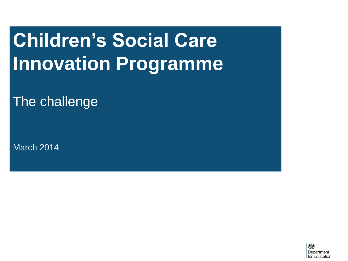# **Children's Social Care Innovation Programme**

The challenge

March 2014

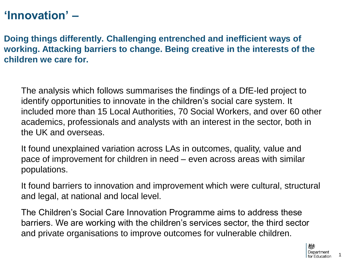## **'Innovation' –**

**Doing things differently. Challenging entrenched and inefficient ways of working. Attacking barriers to change. Being creative in the interests of the children we care for.**

The analysis which follows summarises the findings of a DfE-led project to identify opportunities to innovate in the children's social care system. It included more than 15 Local Authorities, 70 Social Workers, and over 60 other academics, professionals and analysts with an interest in the sector, both in the UK and overseas.

It found unexplained variation across LAs in outcomes, quality, value and pace of improvement for children in need – even across areas with similar populations.

It found barriers to innovation and improvement which were cultural, structural and legal, at national and local level.

The Children's Social Care Innovation Programme aims to address these barriers. We are working with the children's services sector, the third sector and private organisations to improve outcomes for vulnerable children.

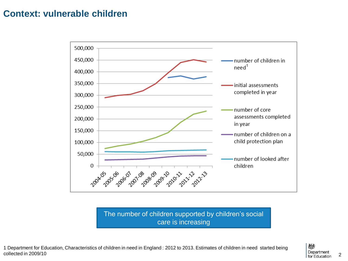### **Context: vulnerable children**



The number of children supported by children's social care is increasing

1 Department for Education, Characteristics of children in need in England : 2012 to 2013. Estimates of children in need started being collected in 2009/10

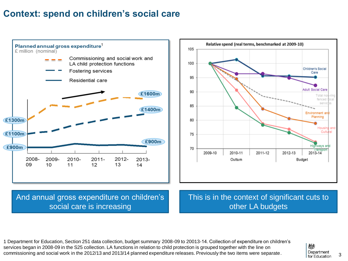### **Context: spend on children's social care**





#### And annual gross expenditure on children's social care is increasing

This is in the context of significant cuts to other LA budgets

1 Department for Education, Section 251 data collection, budget summary 2008-09 to 20013-14. Collection of expenditure on children's services began in 2008-09 in the S25 collection. LA functions in relation to child protection is grouped together with the line on commissioning and social work in the 2012/13 and 2013/14 planned expenditure releases. Previously the two items were separate.

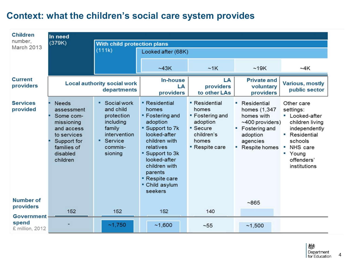### **Context: what the children's social care system provides**

| <b>Children</b><br>number,                    | In need                                                                                                                                  |                                                                                                                         |                                                                                                                                                                                                                                                              |                                                                                                                 |                                                                                                                              |                                                                                                                                                                |
|-----------------------------------------------|------------------------------------------------------------------------------------------------------------------------------------------|-------------------------------------------------------------------------------------------------------------------------|--------------------------------------------------------------------------------------------------------------------------------------------------------------------------------------------------------------------------------------------------------------|-----------------------------------------------------------------------------------------------------------------|------------------------------------------------------------------------------------------------------------------------------|----------------------------------------------------------------------------------------------------------------------------------------------------------------|
| March 2013                                    | (379K)                                                                                                                                   | <b>With child protection plans</b><br>(111k)                                                                            | Looked after (68K)                                                                                                                                                                                                                                           |                                                                                                                 |                                                                                                                              |                                                                                                                                                                |
|                                               |                                                                                                                                          |                                                                                                                         | ~243K                                                                                                                                                                                                                                                        | ~1K                                                                                                             | ~19K                                                                                                                         | ~24K                                                                                                                                                           |
| <b>Current</b><br>providers                   |                                                                                                                                          | <b>Local authority social work</b><br>departments                                                                       | In-house<br>LA<br>providers                                                                                                                                                                                                                                  | LA<br>providers<br>to other LAs                                                                                 | <b>Private and</b><br>voluntary<br>providers                                                                                 | <b>Various, mostly</b><br>public sector                                                                                                                        |
| <b>Services</b><br>provided                   | <b>Needs</b><br>assessment<br>Some com-<br>missioning<br>and access<br>to services<br>Support for<br>families of<br>disabled<br>children | <b>*</b> Social work<br>and child<br>protection<br>including<br>family<br>intervention<br>Service<br>commis-<br>sioning | <b>• Residential</b><br>homes<br><b>• Fostering and</b><br>adoption<br><b>Support to 7k</b><br>looked-after<br>children with<br>relatives<br>" Support to 3k<br>looked-after<br>children with<br>parents<br><b>Respite care</b><br>• Child asylum<br>seekers | • Residential<br>homes<br>• Fostering and<br>adoption<br>• Secure<br>children's<br>homes<br><b>Respite care</b> | • Residential<br>homes (1,347<br>homes with<br>$~100$ providers)<br>Fostering and<br>adoption<br>agencies<br>• Respite homes | Other care<br>settings:<br>• Looked-after<br>children living<br>independently<br>• Residential<br>schools<br>NHS care<br>• Young<br>offenders'<br>institutions |
| <b>Number of</b><br>providers                 | 152                                                                                                                                      | 152                                                                                                                     | 152                                                                                                                                                                                                                                                          | 140                                                                                                             | ~865                                                                                                                         |                                                                                                                                                                |
| <b>Government</b><br>spend<br>£ million, 2012 |                                                                                                                                          | ~1,750                                                                                                                  | ~1,600                                                                                                                                                                                                                                                       | $~1 - 55$                                                                                                       | ~1,500                                                                                                                       |                                                                                                                                                                |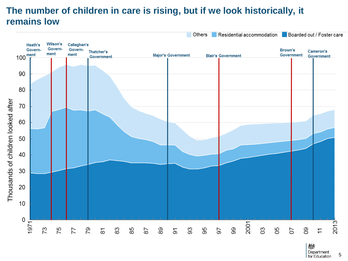### **The number of children in care is rising, but if we look historically, it remains low**



Department 5 for Education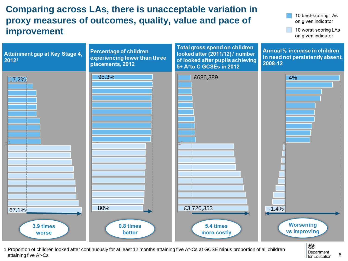### **Comparing across LAs, there is unacceptable variation in proxy measures of outcomes, quality, value and pace of improvement**

10 best-scoring LAs on given indicator

10 worst-scoring LAs on given indicator



1 Proportion of children looked after continuously for at least 12 months attaining five A\*-Cs at GCSE minus proportion of all children attaining five A\*-Cs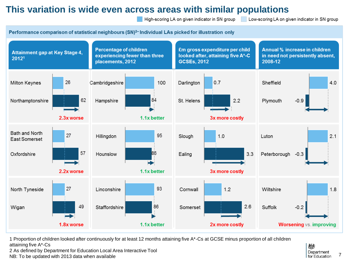### **This variation is wide even across areas with similar populations**

High-scoring LA on given indicator in SN group

Low-scoring LA on given indicator in SN group

Performance comparison of statistical neighbours (SN)<sup>2-</sup> Individual LAs picked for illustration only



1 Proportion of children looked after continuously for at least 12 months attaining five A\*-Cs at GCSE minus proportion of all children attaining five A\*-Cs

2 As defined by Department for Education Local Area Interactive Tool

NB: To be updated with 2013 data when available

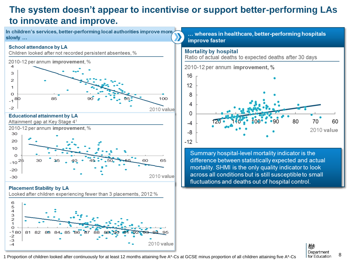### **The system doesn't appear to incentivise or support better-performing LAs to innovate and improve.**

In children's services, better-performing local authorities improve more slowly ...

#### **School attendance by LA**













... whereas in healthcare, better-performing hospitals improve faster

#### **Mortality by hospital**

Ratio of actual deaths to expected deaths after 30 days

2010-12 per annum improvement, %



Summary hospital-level mortality indicator is the difference between statistically expected and actual mortality. SHMI is the only quality indicator to look across all conditions but is still susceptible to small fluctuations and deaths out of hospital control.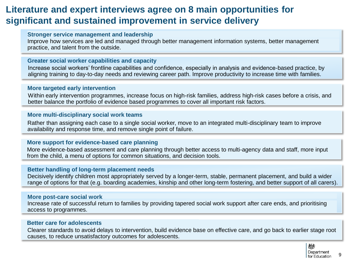### **Literature and expert interviews agree on 8 main opportunities for significant and sustained improvement in service delivery**

#### **Stronger service management and leadership**

Improve how services are led and managed through better management information systems, better management practice, and talent from the outside.

#### **Greater social worker capabilities and capacity**

Increase social workers' frontline capabilities and confidence, especially in analysis and evidence-based practice, by aligning training to day-to-day needs and reviewing career path. Improve productivity to increase time with families.

#### **More targeted early intervention**

Within early intervention programmes, increase focus on high-risk families, address high-risk cases before a crisis, and better balance the portfolio of evidence based programmes to cover all important risk factors.

#### **More multi-disciplinary social work teams**

Rather than assigning each case to a single social worker, move to an integrated multi-disciplinary team to improve availability and response time, and remove single point of failure.

#### **More support for evidence-based care planning**

More evidence-based assessment and care planning through better access to multi-agency data and staff, more input from the child, a menu of options for common situations, and decision tools.

#### **Better handling of long-term placement needs**

Decisively identify children most appropriately served by a longer-term, stable, permanent placement, and build a wider range of options for that (e.g. boarding academies, kinship and other long-term fostering, and better support of all carers).

#### **More post-care social work**

Increase rate of successful return to families by providing tapered social work support after care ends, and prioritising access to programmes.

#### **Better care for adolescents**

Clearer standards to avoid delays to intervention, build evidence base on effective care, and go back to earlier stage root causes, to reduce unsatisfactory outcomes for adolescents.



9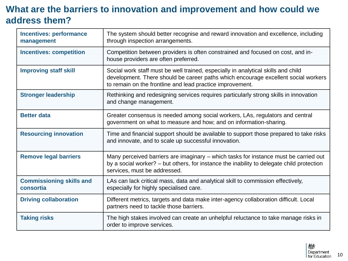### **What are the barriers to innovation and improvement and how could we address them?**

| <b>Incentives: performance</b><br>management | The system should better recognise and reward innovation and excellence, including<br>through inspection arrangements.                                                                                                               |  |  |
|----------------------------------------------|--------------------------------------------------------------------------------------------------------------------------------------------------------------------------------------------------------------------------------------|--|--|
| <b>Incentives: competition</b>               | Competition between providers is often constrained and focused on cost, and in-<br>house providers are often preferred.                                                                                                              |  |  |
| <b>Improving staff skill</b>                 | Social work staff must be well trained, especially in analytical skills and child<br>development. There should be career paths which encourage excellent social workers<br>to remain on the frontline and lead practice improvement. |  |  |
| <b>Stronger leadership</b>                   | Rethinking and redesigning services requires particularly strong skills in innovation<br>and change management.                                                                                                                      |  |  |
| <b>Better data</b>                           | Greater consensus is needed among social workers, LAs, regulators and central<br>government on what to measure and how; and on information-sharing.                                                                                  |  |  |
| <b>Resourcing innovation</b>                 | Time and financial support should be available to support those prepared to take risks<br>and innovate, and to scale up successful innovation.                                                                                       |  |  |
| <b>Remove legal barriers</b>                 | Many perceived barriers are imaginary – which tasks for instance must be carried out<br>by a social worker? – but others, for instance the inability to delegate child protection<br>services, must be addressed.                    |  |  |
| <b>Commissioning skills and</b><br>consortia | LAs can lack critical mass, data and analytical skill to commission effectively,<br>especially for highly specialised care.                                                                                                          |  |  |
| <b>Driving collaboration</b>                 | Different metrics, targets and data make inter-agency collaboration difficult. Local<br>partners need to tackle those barriers.                                                                                                      |  |  |
| <b>Taking risks</b>                          | The high stakes involved can create an unhelpful reluctance to take manage risks in<br>order to improve services.                                                                                                                    |  |  |